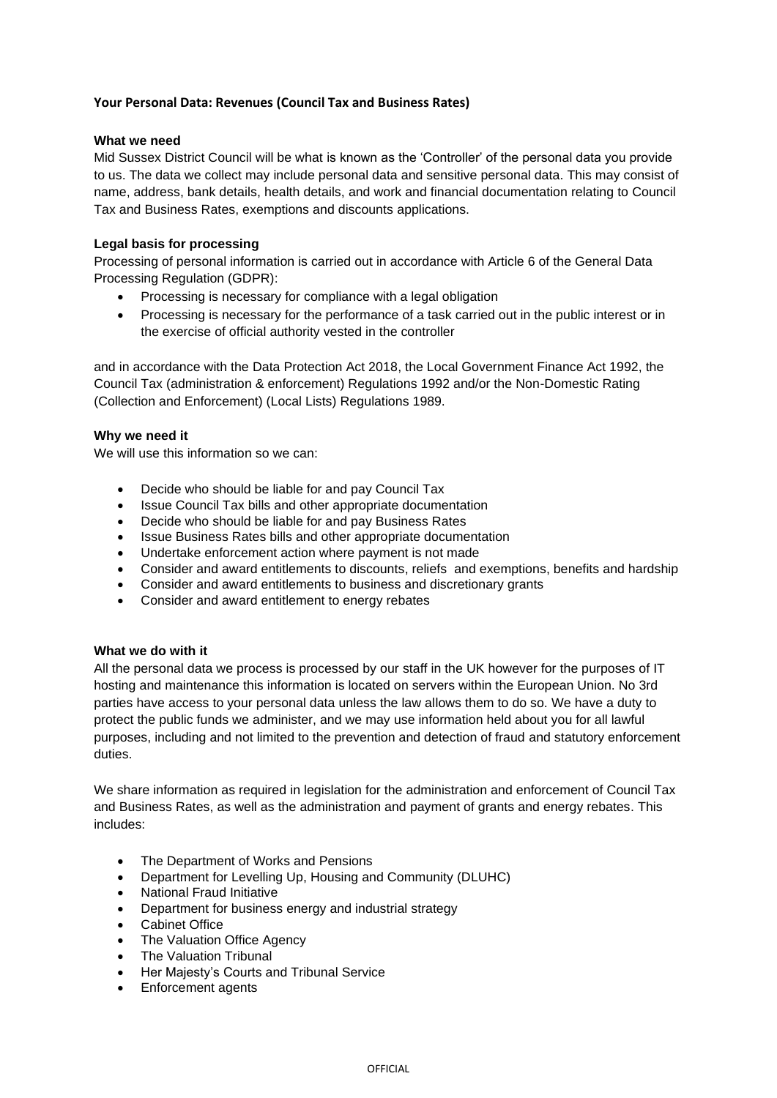# **Your Personal Data: Revenues (Council Tax and Business Rates)**

#### **What we need**

Mid Sussex District Council will be what is known as the 'Controller' of the personal data you provide to us. The data we collect may include personal data and sensitive personal data. This may consist of name, address, bank details, health details, and work and financial documentation relating to Council Tax and Business Rates, exemptions and discounts applications.

## **Legal basis for processing**

Processing of personal information is carried out in accordance with Article 6 of the General Data Processing Regulation (GDPR):

- Processing is necessary for compliance with a legal obligation
- Processing is necessary for the performance of a task carried out in the public interest or in the exercise of official authority vested in the controller

and in accordance with the Data Protection Act 2018, the Local Government Finance Act 1992, the Council Tax (administration & enforcement) Regulations 1992 and/or the Non-Domestic Rating (Collection and Enforcement) (Local Lists) Regulations 1989.

## **Why we need it**

We will use this information so we can:

- Decide who should be liable for and pay Council Tax
- Issue Council Tax bills and other appropriate documentation
- Decide who should be liable for and pay Business Rates
- Issue Business Rates bills and other appropriate documentation
- Undertake enforcement action where payment is not made
- Consider and award entitlements to discounts, reliefs and exemptions, benefits and hardship
- Consider and award entitlements to business and discretionary grants
- Consider and award entitlement to energy rebates

## **What we do with it**

All the personal data we process is processed by our staff in the UK however for the purposes of IT hosting and maintenance this information is located on servers within the European Union. No 3rd parties have access to your personal data unless the law allows them to do so. We have a duty to protect the public funds we administer, and we may use information held about you for all lawful purposes, including and not limited to the prevention and detection of fraud and statutory enforcement duties.

We share information as required in legislation for the administration and enforcement of Council Tax and Business Rates, as well as the administration and payment of grants and energy rebates. This includes:

- The Department of Works and Pensions
- Department for Levelling Up, Housing and Community (DLUHC)
- National Fraud Initiative
- Department for business energy and industrial strategy
- Cabinet Office
- The Valuation Office Agency
- The Valuation Tribunal
- Her Majesty's Courts and Tribunal Service
- Enforcement agents